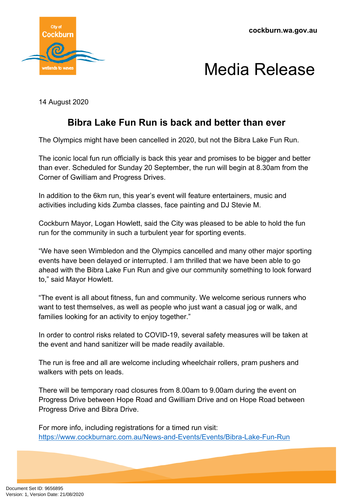



14 August 2020

## **Bibra Lake Fun Run is back and better than ever**

The Olympics might have been cancelled in 2020, but not the Bibra Lake Fun Run.

The iconic local fun run officially is back this year and promises to be bigger and better than ever. Scheduled for Sunday 20 September, the run will begin at 8.30am from the Corner of Gwilliam and Progress Drives.

In addition to the 6km run, this year's event will feature entertainers, music and activities including kids Zumba classes, face painting and DJ Stevie M.

Cockburn Mayor, Logan Howlett, said the City was pleased to be able to hold the fun run for the community in such a turbulent year for sporting events.

"We have seen Wimbledon and the Olympics cancelled and many other major sporting events have been delayed or interrupted. I am thrilled that we have been able to go ahead with the Bibra Lake Fun Run and give our community something to look forward to," said Mayor Howlett.

"The event is all about fitness, fun and community. We welcome serious runners who want to test themselves, as well as people who just want a casual jog or walk, and families looking for an activity to enjoy together."

In order to control risks related to COVID-19, several safety measures will be taken at the event and hand sanitizer will be made readily available.

The run is free and all are welcome including wheelchair rollers, pram pushers and walkers with pets on leads.

There will be temporary road closures from 8.00am to 9.00am during the event on Progress Drive between Hope Road and Gwilliam Drive and on Hope Road between Progress Drive and Bibra Drive.

For more info, including registrations for a timed run visit: <https://www.cockburnarc.com.au/News-and-Events/Events/Bibra-Lake-Fun-Run>